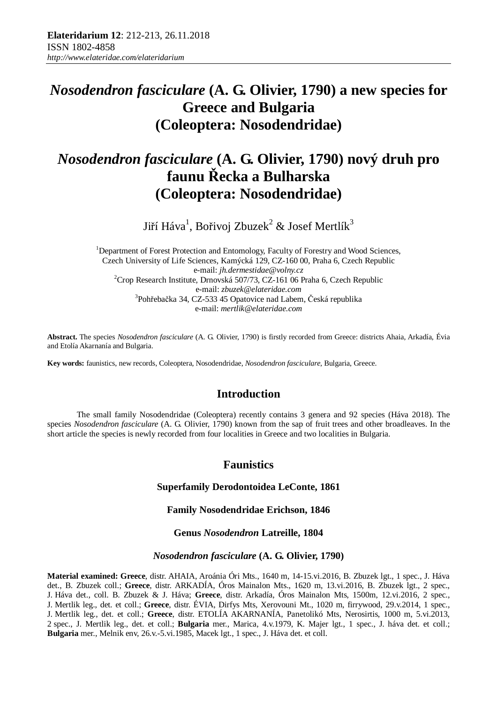## *Nosodendron fasciculare* **(A. G. Olivier, 1790) a new species for Greece and Bulgaria (Coleoptera: Nosodendridae)**

# *Nosodendron fasciculare* **(A. G. Olivier, 1790) nový druh pro faunu Řecka a Bulharska (Coleoptera: Nosodendridae)**

Jiří Háva<sup>1</sup>, Bořivoj Zbuzek<sup>2</sup> & Josef Mertlík<sup>3</sup>

<sup>1</sup>Department of Forest Protection and Entomology, Faculty of Forestry and Wood Sciences, Czech University of Life Sciences, Kamýcká 129, CZ-160 00, Praha 6, Czech Republic e-mail: *jh.dermestidae@volny.cz* <sup>2</sup>Crop Research Institute, Drnovská 507/73, CZ-161 06 Praha 6, Czech Republic e-mail: *zbuzek@elateridae.com* 3 Pohřebačka 34, CZ-533 45 Opatovice nad Labem, Česká republika e-mail: *mertlik@elateridae.com*

**Abstract.** The species *Nosodendron fasciculare* (A. G. Olivier, 1790) is firstly recorded from Greece: districts Ahaia, Arkadía, Évia and Etolía Akarnanía and Bulgaria.

**Key words:** faunistics, new records, Coleoptera, Nosodendridae, *Nosodendron fasciculare*, Bulgaria, Greece.

### **Introduction**

The small family Nosodendridae (Coleoptera) recently contains 3 genera and 92 species (Háva 2018). The species *Nosodendron fasciculare* (A. G. Olivier, 1790) known from the sap of fruit trees and other broadleaves. In the short article the species is newly recorded from four localities in Greece and two localities in Bulgaria.

### **Faunistics**

#### **Superfamily Derodontoidea LeConte, 1861**

#### **Family Nosodendridae Erichson, 1846**

#### **Genus** *Nosodendron* **Latreille, 1804**

#### *Nosodendron fasciculare* **(A. G. Olivier, 1790)**

**Material examined: Greece**, distr. AHAIA, Aroánia Óri Mts., 1640 m, 14-15.vi.2016, B. Zbuzek lgt., 1 spec., J. Háva det., B. Zbuzek coll.; **Greece**, distr. ARKADÍA, Óros Mainalon Mts., 1620 m, 13.vi.2016, B. Zbuzek lgt., 2 spec., J. Háva det., coll. B. Zbuzek & J. Háva; **Greece**, distr. Arkadía, Óros Mainalon Mts, 1500m, 12.vi.2016, 2 spec., J. Mertlik leg., det. et coll.; **Greece**, distr. ÉVIA, Dirfys Mts, Xerovouni Mt., 1020 m, firrywood, 29.v.2014, 1 spec., J. Mertlik leg., det. et coll.; **Greece**, distr. ETOLÍA AKARNANÍA, Panetolikó Mts, Nerosirtis, 1000 m, 5.vi.2013, 2 spec., J. Mertlik leg., det. et coll.; **Bulgaria** mer., Marica, 4.v.1979, K. Majer lgt., 1 spec., J. háva det. et coll.; **Bulgaria** mer., Melnik env, 26.v.-5.vi.1985, Macek lgt., 1 spec., J. Háva det. et coll.